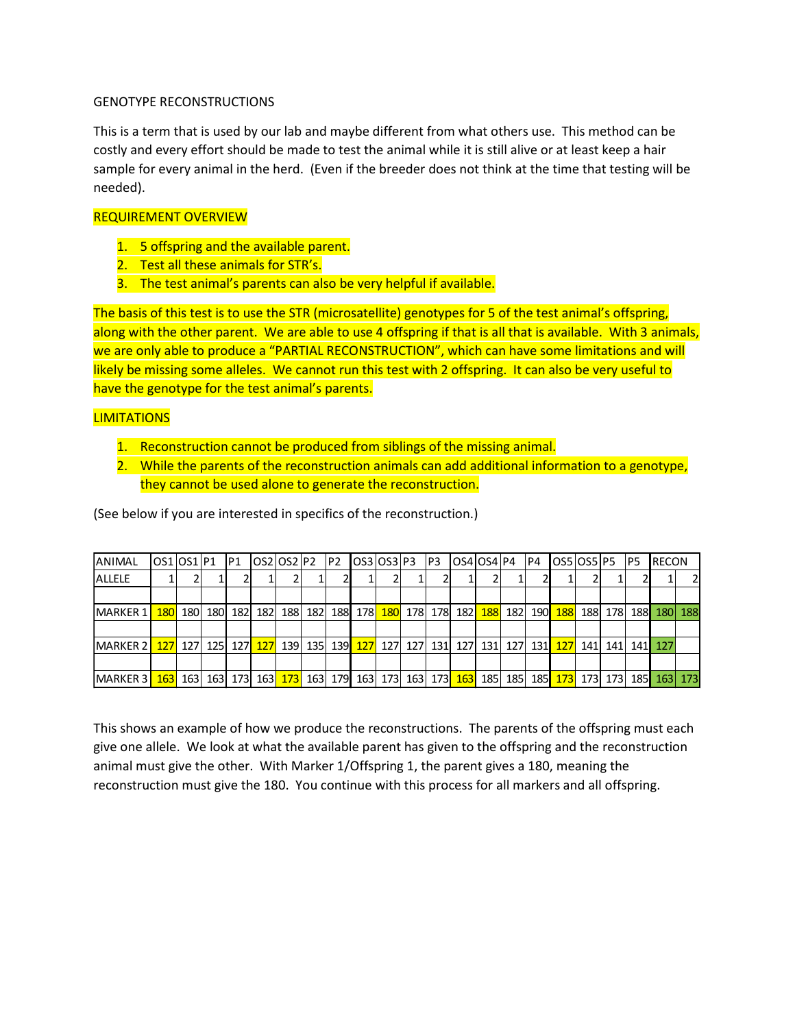## GENOTYPE RECONSTRUCTIONS

This is a term that is used by our lab and maybe different from what others use. This method can be costly and every effort should be made to test the animal while it is still alive or at least keep a hair sample for every animal in the herd. (Even if the breeder does not think at the time that testing will be needed).

## REQUIREMENT OVERVIEW

- 1. 5 offspring and the available parent.
- 2. Test all these animals for STR's.
- 3. The test animal's parents can also be very helpful if available.

The basis of this test is to use the STR (microsatellite) genotypes for 5 of the test animal's offspring, along with the other parent. We are able to use 4 offspring if that is all that is available. With 3 animals, we are only able to produce a "PARTIAL RECONSTRUCTION", which can have some limitations and will likely be missing some alleles. We cannot run this test with 2 offspring. It can also be very useful to have the genotype for the test animal's parents.

## **LIMITATIONS**

- 1. Reconstruction cannot be produced from siblings of the missing animal.
- 2. While the parents of the reconstruction animals can add additional information to a genotype, they cannot be used alone to generate the reconstruction.

| <b>ANIMAL</b>                                                                                                                                                                 | OS1 OS1 P1 |  | P1  OS2 OS2 P2  P2  OS3 OS3 P3  P3                                                                           |  |  |  | $\textsf{OS4} \textsf{OS4} \textsf{P4}$ P4 |  | OS510S51P5 |  | IP5 | <b>RECON</b> |   |
|-------------------------------------------------------------------------------------------------------------------------------------------------------------------------------|------------|--|--------------------------------------------------------------------------------------------------------------|--|--|--|--------------------------------------------|--|------------|--|-----|--------------|---|
| <b>ALLELE</b>                                                                                                                                                                 |            |  |                                                                                                              |  |  |  |                                            |  |            |  |     |              | 2 |
|                                                                                                                                                                               |            |  |                                                                                                              |  |  |  |                                            |  |            |  |     |              |   |
| <b>MARKER 1</b>                                                                                                                                                               |            |  | <mark>180</mark> 180 180 182 182 182 188 182 188 178 180 178 178 182 182 183 182 190 188 188 178 188 180 188 |  |  |  |                                            |  |            |  |     |              |   |
|                                                                                                                                                                               |            |  |                                                                                                              |  |  |  |                                            |  |            |  |     |              |   |
| MARKER 2 <mark>127</mark> 127 125 127 129 139 135 139 127 127 127 127 131 127 131 127 131 127 131 127 141 141 141                                                             |            |  |                                                                                                              |  |  |  |                                            |  |            |  |     |              |   |
|                                                                                                                                                                               |            |  |                                                                                                              |  |  |  |                                            |  |            |  |     |              |   |
| MARKER 3 <mark>  163</mark>   163   163   173   163 <mark>  173</mark>   163   179   163   173   163   173   185   185   185   173   173   173   185 <mark>  163   173</mark> |            |  |                                                                                                              |  |  |  |                                            |  |            |  |     |              |   |

(See below if you are interested in specifics of the reconstruction.)

This shows an example of how we produce the reconstructions. The parents of the offspring must each give one allele. We look at what the available parent has given to the offspring and the reconstruction animal must give the other. With Marker 1/Offspring 1, the parent gives a 180, meaning the reconstruction must give the 180. You continue with this process for all markers and all offspring.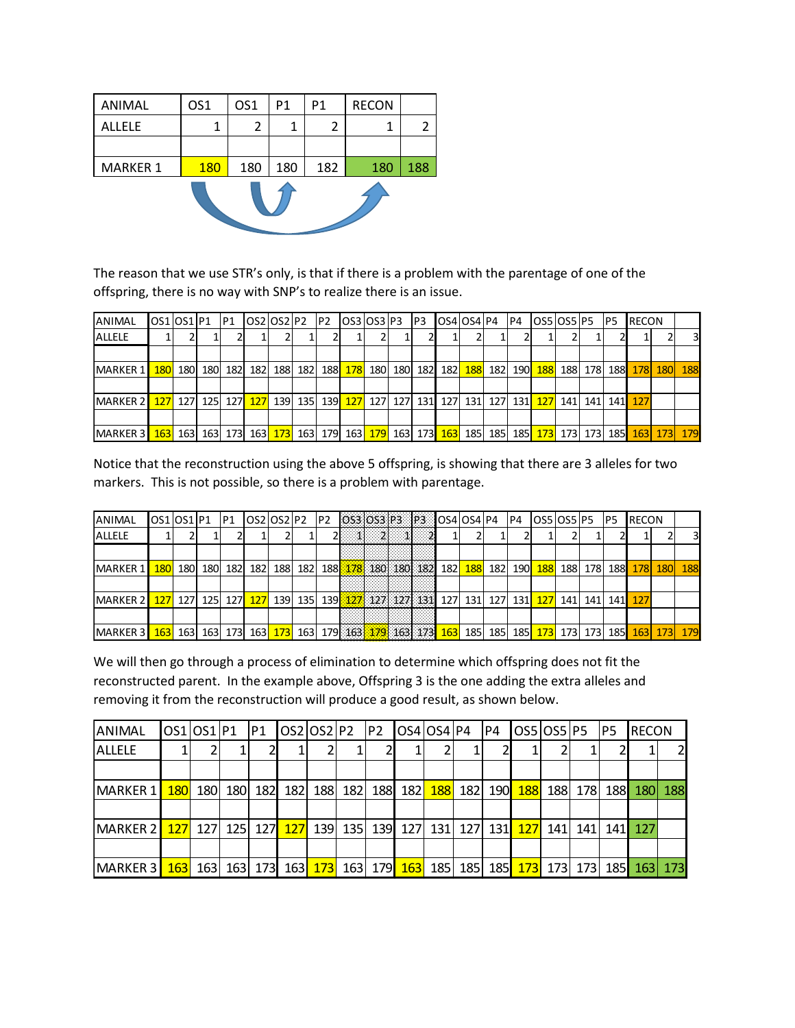| ANIMAL          | OS <sub>1</sub> | OS <sub>1</sub> | P1  | P1  | <b>RECON</b> |     |
|-----------------|-----------------|-----------------|-----|-----|--------------|-----|
| <b>ALLELE</b>   |                 | 2               | 1   | 2   |              |     |
|                 |                 |                 |     |     |              |     |
| <b>MARKER 1</b> | <b>180</b>      | 180             | 180 | 182 | 180          | 188 |
|                 |                 |                 |     |     |              |     |

The reason that we use STR's only, is that if there is a problem with the parentage of one of the offspring, there is no way with SNP's to realize there is an issue.

| ANIMAL                                                                                                                                                                                                                                              |            |         |         |         | $\textsf{OSS}$   OS3   P3 |  | OS4 OS4 P4 P4 |  | OS5 OS5 P5                                                                                  |  | IP5     | <b>IRECON</b> |                |                         |
|-----------------------------------------------------------------------------------------------------------------------------------------------------------------------------------------------------------------------------------------------------|------------|---------|---------|---------|---------------------------|--|---------------|--|---------------------------------------------------------------------------------------------|--|---------|---------------|----------------|-------------------------|
| ALLELE                                                                                                                                                                                                                                              |            |         |         |         |                           |  |               |  |                                                                                             |  |         |               |                | $\overline{\mathbf{3}}$ |
|                                                                                                                                                                                                                                                     |            |         |         |         |                           |  |               |  |                                                                                             |  |         |               |                |                         |
| MARKER 1                                                                                                                                                                                                                                            | <b>180</b> | 180 180 | 182 182 | 188 182 |                           |  |               |  | 188 <mark>  178</mark>   180  180  182 <b>  182  188 </b> 182  190 <mark>  188</mark>   188 |  | 178 188 |               | <b>178 180</b> | 188                     |
|                                                                                                                                                                                                                                                     |            |         |         |         |                           |  |               |  |                                                                                             |  |         |               |                |                         |
| MARKER 2 <mark>127</mark> 127 125 127 127 139 135 139 127 127 127 131 127 131 127 131 127 131 127 141 141 141 127                                                                                                                                   |            |         |         |         |                           |  |               |  |                                                                                             |  |         |               |                |                         |
|                                                                                                                                                                                                                                                     |            |         |         |         |                           |  |               |  |                                                                                             |  |         |               |                |                         |
| MARKER 3 <mark>  163</mark>   163   163   173   163 <mark>  173</mark>   163   179   163   179   163   173   185   185   185   173   173   173   173   163   173   179   179   179   179   179   179   179   179   179   179   179   179   179   17 |            |         |         |         |                           |  |               |  |                                                                                             |  |         |               |                |                         |

Notice that the reconstruction using the above 5 offspring, is showing that there are 3 alleles for two markers. This is not possible, so there is a problem with parentage.

| ANIMAL          | OS1 OS1 P1 |            |                  | P1  |     | OS2 OS2 P2 |     | IP2 |                                                 |  |                 | 0S3 0S3 P3 P3 0S4 0S4 P4 |            |     | IP4         | OS5 OS5 P5 |             |       | P <sub>5</sub> | <b>RECON</b> |            |                         |
|-----------------|------------|------------|------------------|-----|-----|------------|-----|-----|-------------------------------------------------|--|-----------------|--------------------------|------------|-----|-------------|------------|-------------|-------|----------------|--------------|------------|-------------------------|
| <b>ALLELE</b>   |            |            |                  |     |     |            |     |     |                                                 |  | $1 \t2 \t1 \t2$ |                          |            |     |             |            |             |       |                |              |            | $\overline{\mathbf{3}}$ |
|                 |            |            |                  |     |     |            |     |     |                                                 |  |                 |                          |            |     |             |            |             |       |                |              |            |                         |
| MARKER 1        | <b>180</b> | <b>180</b> | 180              | 182 | 182 | 188        | 182 |     | 188 178 180 180 182                             |  |                 | 182                      | <b>188</b> | 182 | 190         | <b>188</b> | 188         | 178   | <b>188</b>     | 178I         | <b>180</b> | 188                     |
|                 |            |            |                  |     |     |            |     |     |                                                 |  |                 |                          |            |     |             |            |             |       |                |              |            |                         |
| <b>MARKER 2</b> | 127        | 127        | 125 <sub>l</sub> | 127 | 127 | 139        | 135 |     |                                                 |  |                 | 139 127 127 127 131 127  | 131        | 127 | 131         | 127        | 141         | 141 I | 141            | 127          |            |                         |
|                 |            |            |                  |     |     |            |     |     |                                                 |  |                 |                          |            |     |             |            |             |       |                |              |            |                         |
| <b>MARKER 3</b> | 163        | 1631       | 1631             |     | 163 | 173        | 163 |     | 179 163 <mark>179</mark> 163 173 <mark>1</mark> |  |                 | 163                      | 185        | 185 | <b>1851</b> | 173        | <b>1731</b> | 173   | 185            |              | 163 173    | 179                     |

We will then go through a process of elimination to determine which offspring does not fit the reconstructed parent. In the example above, Offspring 3 is the one adding the extra alleles and removing it from the reconstruction will produce a good result, as shown below.

| <b>ANIMAL</b>                                                                                                                                         |  |  |  |  | $\textsf{IOS4}$   $\textsf{PS4}$   $\textsf{P4}$ |  | <b>OS5 OS5 P5</b>                                                            |     | P5 | <b>RECON</b> |                |
|-------------------------------------------------------------------------------------------------------------------------------------------------------|--|--|--|--|--------------------------------------------------|--|------------------------------------------------------------------------------|-----|----|--------------|----------------|
| <b>ALLELE</b>                                                                                                                                         |  |  |  |  |                                                  |  |                                                                              |     |    |              | $\overline{2}$ |
|                                                                                                                                                       |  |  |  |  |                                                  |  |                                                                              |     |    |              |                |
| MARKER 1                                                                                                                                              |  |  |  |  |                                                  |  | <mark>180</mark> 180 180 182 182 188 182 188 182 188 182 188 182 190 188 188 | 178 |    | 188 180      | 188            |
|                                                                                                                                                       |  |  |  |  |                                                  |  |                                                                              |     |    |              |                |
| MARKER 2 <mark>  127</mark>   127   125   127 <mark>  127</mark>   139   135   139   127   131   127   131   127   141   141   141   127              |  |  |  |  |                                                  |  |                                                                              |     |    |              |                |
|                                                                                                                                                       |  |  |  |  |                                                  |  |                                                                              |     |    |              |                |
| MARKER 3 <mark>  163</mark>   163   163   173   163 <mark>  173</mark>   163   179 <mark>  163</mark>   185   185   175   173   173   185   163   173 |  |  |  |  |                                                  |  |                                                                              |     |    |              |                |